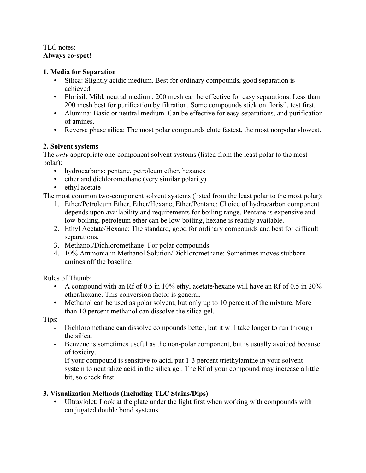## TLC notes: **Always co-spot!**

## **1. Media for Separation**

- Silica: Slightly acidic medium. Best for ordinary compounds, good separation is achieved.
- Florisil: Mild, neutral medium. 200 mesh can be effective for easy separations. Less than 200 mesh best for purification by filtration. Some compounds stick on florisil, test first.
- Alumina: Basic or neutral medium. Can be effective for easy separations, and purification of amines.
- Reverse phase silica: The most polar compounds elute fastest, the most nonpolar slowest.

## **2. Solvent systems**

The *only* appropriate one-component solvent systems (listed from the least polar to the most polar):

- hydrocarbons: pentane, petroleum ether, hexanes
- ether and dichloromethane (very similar polarity)
- ethyl acetate

The most common two-component solvent systems (listed from the least polar to the most polar):

- 1. Ether/Petroleum Ether, Ether/Hexane, Ether/Pentane: Choice of hydrocarbon component depends upon availability and requirements for boiling range. Pentane is expensive and low-boiling, petroleum ether can be low-boiling, hexane is readily available.
- 2. Ethyl Acetate/Hexane: The standard, good for ordinary compounds and best for difficult separations.
- 3. Methanol/Dichloromethane: For polar compounds.
- 4. 10% Ammonia in Methanol Solution/Dichloromethane: Sometimes moves stubborn amines off the baseline.

Rules of Thumb:

- A compound with an Rf of 0.5 in 10% ethyl acetate/hexane will have an Rf of 0.5 in  $20\%$ ether/hexane. This conversion factor is general.
- Methanol can be used as polar solvent, but only up to 10 percent of the mixture. More than 10 percent methanol can dissolve the silica gel.

Tips:

- Dichloromethane can dissolve compounds better, but it will take longer to run through the silica.
- Benzene is sometimes useful as the non-polar component, but is usually avoided because of toxicity.
- If your compound is sensitive to acid, put 1-3 percent triethylamine in your solvent system to neutralize acid in the silica gel. The Rf of your compound may increase a little bit, so check first.

## **3. Visualization Methods (Including TLC Stains/Dips)**

Ultraviolet: Look at the plate under the light first when working with compounds with conjugated double bond systems.